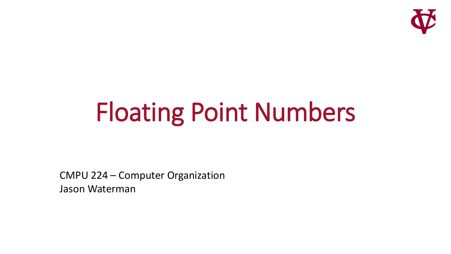

# Floating Point Numbers

CMPU 224 – Computer Organization Jason Waterman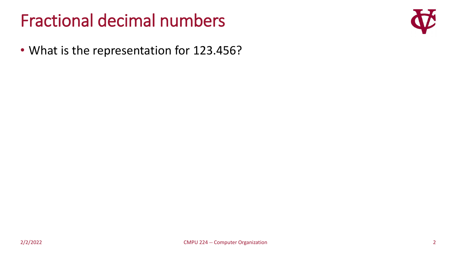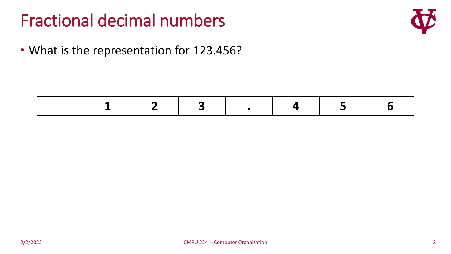

|--|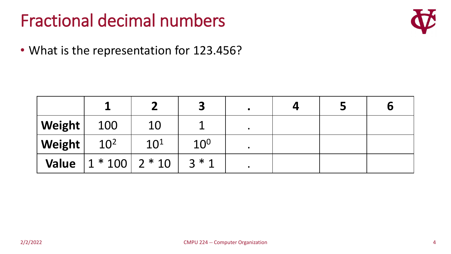

|        |                                  |                 | J               |  | Ū |
|--------|----------------------------------|-----------------|-----------------|--|---|
| Weight | 100                              | 10              |                 |  |   |
| Weight | 10 <sup>2</sup>                  | 10 <sup>1</sup> | 10 <sup>0</sup> |  |   |
|        | Value $1 * 100$ 2 $* 10$ 3 $* 1$ |                 |                 |  |   |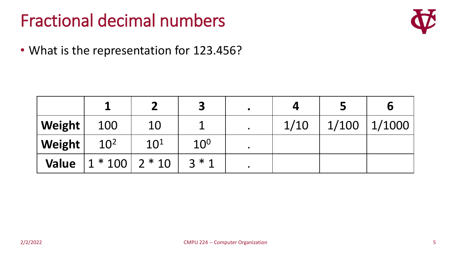

|              |                     |                 | 3               | $\bullet$ |      |       | Ю              |
|--------------|---------------------|-----------------|-----------------|-----------|------|-------|----------------|
| Weight       | 100                 | 10              |                 |           | 1/10 | 1/100 | $\vert$ 1/1000 |
| Weight       | 10 <sup>2</sup>     | 10 <sup>1</sup> | 10 <sup>0</sup> |           |      |       |                |
| <b>Value</b> | $ 1 * 100   2 * 10$ |                 | $3 * 1$         |           |      |       |                |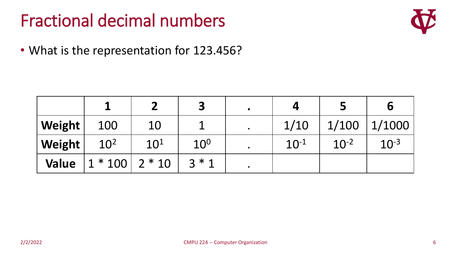

|              |                      |          | 3               | $\bullet$ |           |           | b         |
|--------------|----------------------|----------|-----------------|-----------|-----------|-----------|-----------|
| Weight       | 100                  | 10       |                 | $\bullet$ | 1/10      | 1/100     | 1/1000    |
| Weight       | 10 <sup>2</sup>      | $10^{1}$ | 10 <sup>0</sup> |           | $10^{-1}$ | $10^{-2}$ | $10^{-3}$ |
| <b>Value</b> | $1 * 100$   2 $* 10$ |          | $2 * 1$         | $\bullet$ |           |           |           |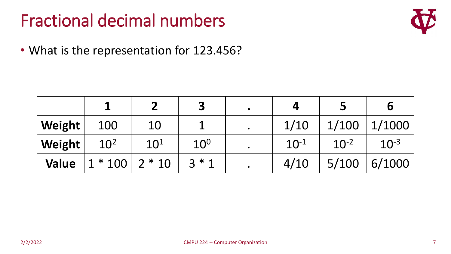

|              |                 |          | 3               | $\bullet$ |           |           | b         |
|--------------|-----------------|----------|-----------------|-----------|-----------|-----------|-----------|
| Weight       | 100             | 10       |                 |           | 1/10      | 1/100     | 1/1000    |
| Weight       | 10 <sup>2</sup> | $10^{1}$ | 10 <sup>0</sup> |           | $10^{-1}$ | $10^{-2}$ | $10^{-3}$ |
| <b>Value</b> | $1 * 100$       | $2 * 10$ | $3 * 1$         |           | 4/10      | 5/100     | 6/1000    |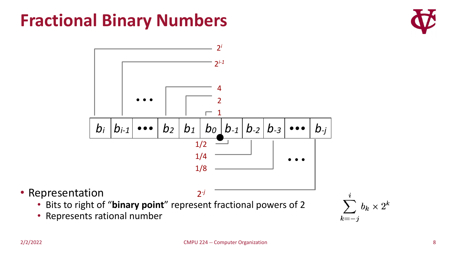#### **Fractional Binary Numbers**





• Representation

- Bits to right of "**binary point**" represent fractional powers of 2
- Represents rational number

 $b_k\times 2^k$  $k=-j$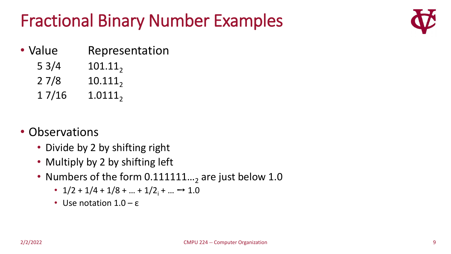#### Fractional Binary Number Examples



- Value Representation
	- $5 \frac{3}{4}$  101.11<sub>2</sub>
	- $27/8$  10.111<sub>2</sub>
	- $17/16$   $1.0111_2$
- Observations
	- Divide by 2 by shifting right
	- Multiply by 2 by shifting left
	- Numbers of the form  $0.111111...$ <sub>2</sub> are just below 1.0
		- $1/2$  +  $1/4$  +  $1/8$  + ... +  $1/2$ <sub>i</sub> + ...  $\rightarrow$  1.0
		- Use notation  $1.0 \varepsilon$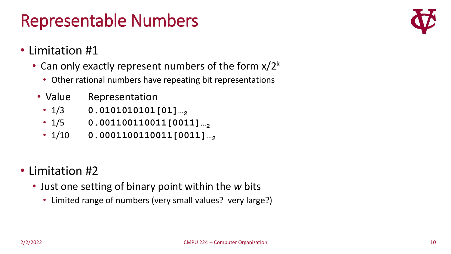#### Representable Numbers



- Limitation #1
	- Can only exactly represent numbers of the form  $x/2^k$ 
		- Other rational numbers have repeating bit representations
		- Value Representation
			- $1/3$  **0.0101010101[01]** ...
			- $1/5$  **0.001100110011[0011]** ...
			- $1/10$  **0.0001100110011[0011]** ...
- Limitation #2
	- Just one setting of binary point within the *w* bits
		- Limited range of numbers (very small values? very large?)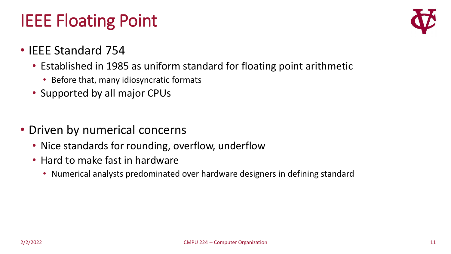#### IEEE Floating Point



- IEEE Standard 754
	- Established in 1985 as uniform standard for floating point arithmetic
		- Before that, many idiosyncratic formats
	- Supported by all major CPUs
- Driven by numerical concerns
	- Nice standards for rounding, overflow, underflow
	- Hard to make fast in hardware
		- Numerical analysts predominated over hardware designers in defining standard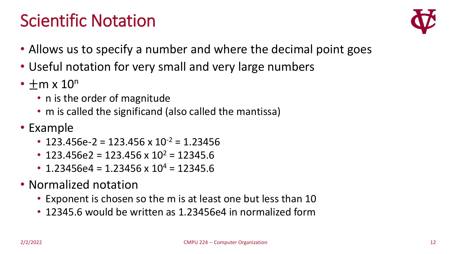#### Scientific Notation



- Allows us to specify a number and where the decimal point goes
- Useful notation for very small and very large numbers
- $\cdot$  +m x  $10^n$ 
	- n is the order of magnitude
	- m is called the significand (also called the mantissa)
- Example
	- 123.456e-2 = 123.456 x  $10^{-2}$  = 1.23456
	- 123.456e2 = 123.456 x 10<sup>2</sup> = 12345.6
	- 1.23456e4 = 1.23456 x  $10^4$  = 12345.6
- Normalized notation
	- Exponent is chosen so the m is at least one but less than 10
	- 12345.6 would be written as 1.23456e4 in normalized form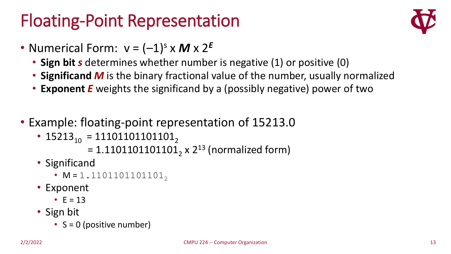#### Floating-Point Representation



- Numerical Form:  $v = (-1)^s \times M \times 2^E$ 
	- **Sign bit** *s* determines whether number is negative (1) or positive (0)
	- **Significand** *M* is the binary fractional value of the number, usually normalized
	- **Exponent** *E* weights the significand by a (possibly negative) power of two
- Example: floating-point representation of 15213.0
	- 15213<sub>10</sub> = 11101101101101<sub>2</sub>

= 1.1101101101101<sub>2</sub> x 2<sup>13</sup> (normalized form)

- Significand
	- $M = 1.1101101101101<sub>2</sub>$
- Exponent
	- $E = 13$
- Sign bit
	- $S = 0$  (positive number)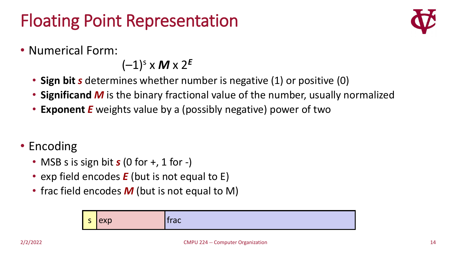#### Floating Point Representation



• Numerical Form:

 $(-1)^s$  x **M** x  $2^E$ 

- **Sign bit** *s* determines whether number is negative (1) or positive (0)
- **Significand** *M* is the binary fractional value of the number, usually normalized
- **Exponent** *E* weights value by a (possibly negative) power of two
- Encoding
	- MSB s is sign bit **s** (0 for +, 1 for -)
	- exp field encodes *E* (but is not equal to E)
	- frac field encodes **M** (but is not equal to M)

| -<br>- | exp | トレヘー<br>uu |
|--------|-----|------------|
|--------|-----|------------|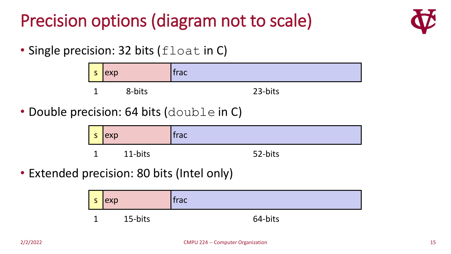#### Precision options (diagram not to scale)



• Single precision: 32 bits (float in C)

| $\epsilon$<br>ು | exp    | trac/   |
|-----------------|--------|---------|
| ◢               | 8-bits | 23-bits |

• Double precision: 64 bits (double in C)

| S | $ \exp $ | trac    |
|---|----------|---------|
|   | 11-bits  | 52-bits |

• Extended precision: 80 bits (Intel only)

s exp state of the state of the state of the state of the state of the state of the state of the state of the s 1 15-bits 64-bits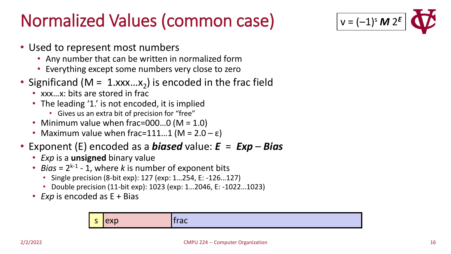#### Normalized Values (common case)



- Used to represent most numbers
	- Any number that can be written in normalized form
	- Everything except some numbers very close to zero
- Significand (M =  $1.xxx...x_2$ ) is encoded in the frac field
	- xxx…x: bits are stored in frac
	- The leading '1.' is not encoded, it is implied
		- Gives us an extra bit of precision for "free"
	- Minimum value when frac=000...0 (M = 1.0)
	- Maximum value when frac=111...1 ( $M = 2.0 \epsilon$ )
- Exponent (E) encoded as a *biased* value: *E* = *Exp Bias*
	- *Exp* is a **unsigned** binary value
	- *Bias* =  $2^{k-1}$  1, where *k* is number of exponent bits
		- Single precision (8-bit exp): 127 (exp: 1…254, E: -126…127)
		- Double precision (11-bit exp): 1023 (exp: 1…2046, E: -1022…1023)
	- *Exp* is encoded as E + Bias

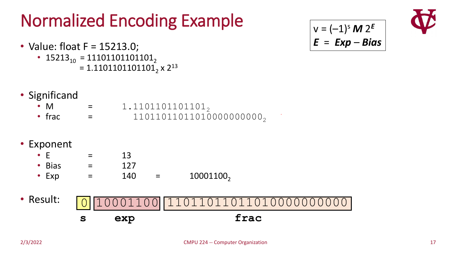# Normalized Encoding Example

- Value: float F = 15213.0;
	- 15213<sub>10</sub> = 11101101101101<sub>2</sub> =  $1.1101101101101_2$  x  $2^{13}$

$$
v = (-1)^s M 2^E
$$
  

$$
E = Exp - Bias
$$



- Significand
	- M =  $1.1101101101101_2$
	- frac =  $1101101101101000000000_2$
- Exponent
	- $E = 13$
	- Bias  $=$  127 • Exp =  $140 = 10001100$
- Result: **s exp frac** 0 10001100 11011011011010000000000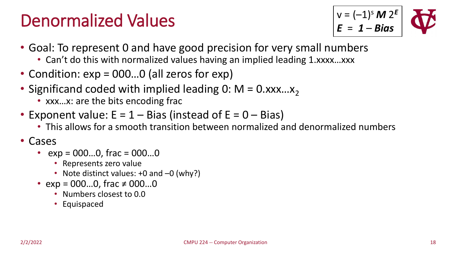#### Denormalized Values



- Goal: To represent 0 and have good precision for very small numbers
	- Can't do this with normalized values having an implied leading 1.xxxx...xxx
- Condition:  $exp = 000...0$  (all zeros for  $exp$ )
- Significand coded with implied leading 0:  $M = 0.xxx...x_2$ 
	- xxx...x: are the bits encoding frac
- Exponent value:  $E = 1 Bias$  (instead of  $E = 0 Bias$ )
	- This allows for a smooth transition between normalized and denormalized numbers

#### • Cases

- $exp = 000...0$ , frac =  $000...0$ 
	- Represents zero value
	- Note distinct values: +0 and -0 (why?)
- $exp = 000...0$ , frac  $\neq 000...0$ 
	- Numbers closest to 0.0
	- Equispaced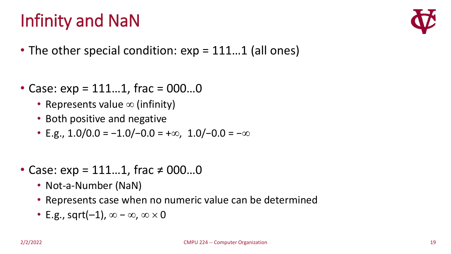### Infinity and NaN



- The other special condition:  $exp = 111...1$  (all ones)
- Case:  $exp = 111...1$ , frac = 000...0
	- Represents value  $\infty$  (infinity)
	- Both positive and negative
	- E.g.,  $1.0/0.0 = -1.0/-0.0 = +\infty$ ,  $1.0/-0.0 = -\infty$
- Case:  $exp = 111...1$ , frac  $\neq 000...0$ 
	- Not-a-Number (NaN)
	- Represents case when no numeric value can be determined
	- E.g., sqrt $(-1)$ ,  $\infty \infty$ ,  $\infty \times 0$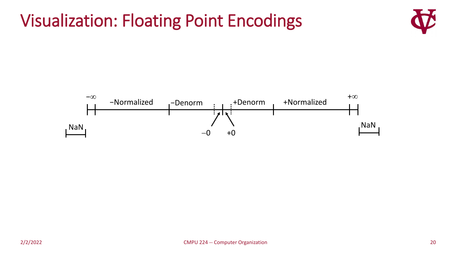#### Visualization: Floating Point Encodings

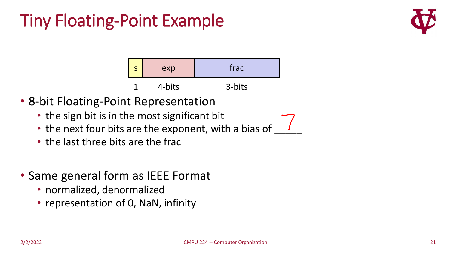#### Tiny Floating-Point Example





- 8-bit Floating-Point Representation
	- the sign bit is in the most significant bit
	- the next four bits are the exponent, with a bias of
	- the last three bits are the frac
- Same general form as IEEE Format
	- normalized, denormalized
	- representation of 0, NaN, infinity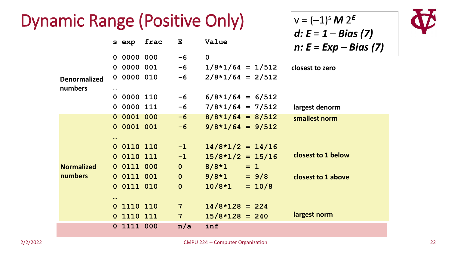#### Dynamic Range (Positive Only)

|                                |          |            |      |                |                           | $d: E = 1 - Bias (7)$  |
|--------------------------------|----------|------------|------|----------------|---------------------------|------------------------|
|                                |          | s exp      | frac | $\mathbf{E}$   | Value                     | $n: E = Exp - Bias(7)$ |
|                                |          | 0 0000 000 |      | $-6$           | $\mathbf 0$               |                        |
|                                |          | 0 0000 001 |      | $-6$           | $1/8*1/64 = 1/512$        | closest to zero        |
| <b>Denormalized</b><br>numbers | $\cdots$ | 0 0000 010 |      | $-6$           | $2/8*1/64 = 2/512$        |                        |
|                                |          | 0 0000 110 |      | $-6$           | $6/8*1/64 = 6/512$        |                        |
|                                |          | 0 0000 111 |      | $-6$           | $7/8*1/64 = 7/512$        | largest denorm         |
|                                |          | 0 0001 000 |      | $-6$           | $8/8 \times 1/64 = 8/512$ | smallest norm          |
|                                |          | 0 0001 001 |      | $-6$           | $9/8*1/64 = 9/512$        |                        |
|                                | $\cdots$ |            |      |                |                           |                        |
|                                |          | 0 0110 110 |      | $-1$           | $14/8*1/2 = 14/16$        |                        |
|                                |          | 0 0110 111 |      | $-1$           | $15/8*1/2 = 15/16$        | closest to 1 below     |
| <b>Normalized</b>              |          | 0 0111 000 |      | $\overline{0}$ | $8/8 \times 1 = 1$        |                        |
| numbers                        |          | 0 0111 001 |      | $\mathbf{0}$   | $9/8*1 = 9/8$             | closest to 1 above     |
|                                |          | 0 0111 010 |      | $\overline{0}$ | $10/8*1 = 10/8$           |                        |
|                                | $\cdots$ |            |      |                |                           |                        |
|                                |          | 0 1110 110 |      | $7 -$          | $14/8 \times 128 = 224$   |                        |
|                                |          | 0 1110 111 |      | $7 -$          | $15/8 \times 128 = 240$   | largest norm           |
|                                |          | 0 1111 000 |      | n/a            | inf                       |                        |



 $v = (-1)^s M 2^E$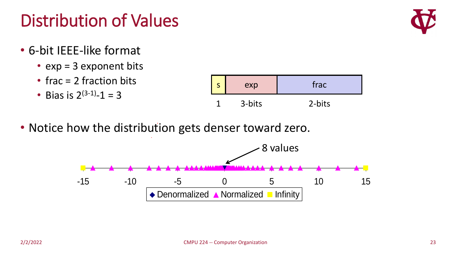## Distribution of Values

- 6-bit IEEE-like format
	- exp = 3 exponent bits
	- frac = 2 fraction bits
	- Bias is  $2^{(3-1)} 1 = 3$
- Notice how the distribution gets denser toward zero.





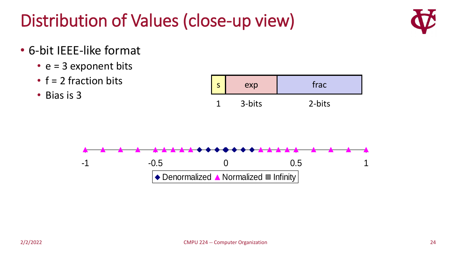#### Distribution of Values (close-up view)



- 6-bit IEEE-like format
	- $e = 3$  exponent bits
	- $\cdot$  f = 2 fraction bits
	- Bias is 3

|   | exp    | frac   |
|---|--------|--------|
| ℯ | 3-bits | 2-bits |

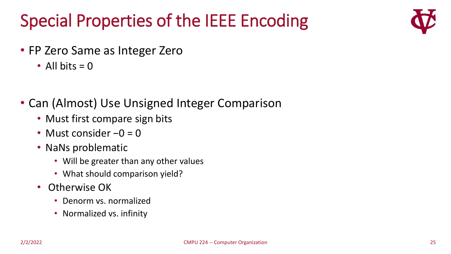### Special Properties of the IEEE Encoding



- FP Zero Same as Integer Zero
	- All bits  $= 0$
- Can (Almost) Use Unsigned Integer Comparison
	- Must first compare sign bits
	- Must consider −0 = 0
	- NaNs problematic
		- Will be greater than any other values
		- What should comparison yield?
	- Otherwise OK
		- Denorm vs. normalized
		- Normalized vs. infinity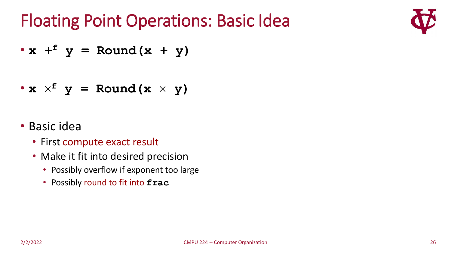#### Floating Point Operations: Basic Idea



 $\cdot$  **x** +<sup> $f$ </sup> **y** = Round(**x** + **y**)

• 
$$
x \times^f y = \text{Round}(x \times y)
$$

#### • Basic idea

- First compute exact result
- Make it fit into desired precision
	- Possibly overflow if exponent too large
	- Possibly round to fit into **frac**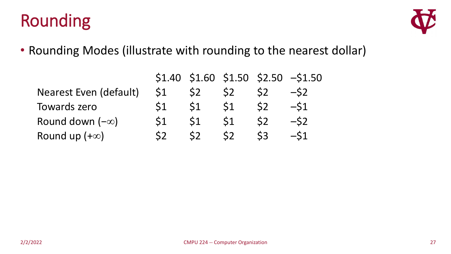### Rounding



• Rounding Modes (illustrate with rounding to the nearest dollar)

|                               |                |    |    |                | $$1.40$ $$1.60$ $$1.50$ $$2.50$ $$1.50$ |
|-------------------------------|----------------|----|----|----------------|-----------------------------------------|
| <b>Nearest Even (default)</b> | $\mathsf{S}1$  | S2 |    |                | $-S2$                                   |
| <b>Towards zero</b>           | S1             | S1 | 51 | S <sub>2</sub> | $-S1$                                   |
| Round down $(-\infty)$        | S <sub>1</sub> | 51 | 51 | S2             | $-S2$                                   |
| Round up $(+\infty)$          |                | S2 |    | 53             | $-S1$                                   |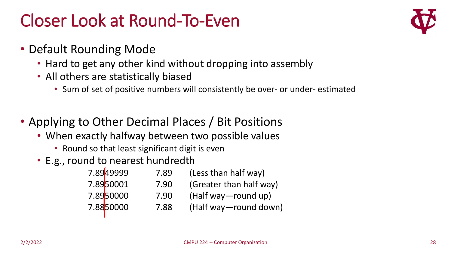#### Closer Look at Round-To-Even

- Default Rounding Mode
	- Hard to get any other kind without dropping into assembly
	- All others are statistically biased
		- Sum of set of positive numbers will consistently be over- or under- estimated
- Applying to Other Decimal Places / Bit Positions
	- When exactly halfway between two possible values
		- Round so that least significant digit is even
	- E.g., round to nearest hundredth

| 7.8949999               | 7.89 | (Less than half way)    |
|-------------------------|------|-------------------------|
| 7.89 <mark>50001</mark> | 7.90 | (Greater than half way) |
| 7.8950000               | 7.90 | (Half way—round up)     |
| 7.8850000               | 7.88 | (Half way-round down)   |
|                         |      |                         |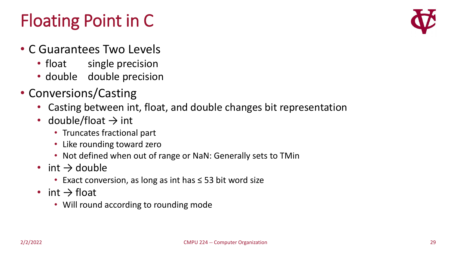### Floating Point in C

- C Guarantees Two Levels
	- float single precision
	- double double precision
- Conversions/Casting
	- Casting between int, float, and double changes bit representation
	- double/float  $\rightarrow$  int
		- Truncates fractional part
		- Like rounding toward zero
		- Not defined when out of range or NaN: Generally sets to TMin
	- int  $\rightarrow$  double
		- Exact conversion, as long as int has ≤ 53 bit word size
	- int  $\rightarrow$  float
		- Will round according to rounding mode